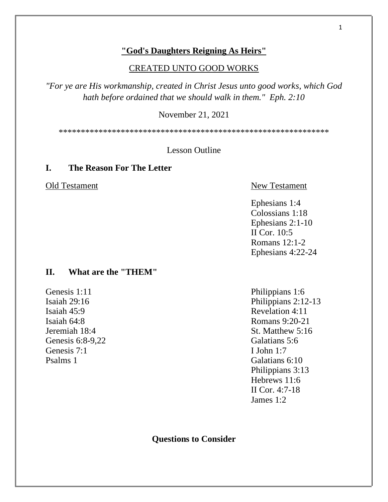## **"God's Daughters Reigning As Heirs"**

#### CREATED UNTO GOOD WORKS

*"For ye are His workmanship, created in Christ Jesus unto good works, which God hath before ordained that we should walk in them." Eph. 2:10*

November 21, 2021

\*\*\*\*\*\*\*\*\*\*\*\*\*\*\*\*\*\*\*\*\*\*\*\*\*\*\*\*\*\*\*\*\*\*\*\*\*\*\*\*\*\*\*\*\*\*\*\*\*\*\*\*\*\*\*\*\*\*\*\*\*

Lesson Outline

## **I. The Reason For The Letter**

# Old Testament New Testament

Ephesians 1:4 Colossians 1:18 Ephesians 2:1-10 II Cor. 10:5 Romans 12:1-2 Ephesians 4:22-24

#### **II. What are the "THEM"**

Genesis 1:11 Philippians 1:6<br>
Isaiah 29:16 Philippians 2:12 Isaiah 45:9 Revelation 4:11 Genesis 6:8-9.22 Galatians 5:6 Genesis 7:1 I John 1:7 Psalms 1 Galatians 6:10

Philippians 2:12-13 Isaiah 64:8 Romans 9:20-21 Jeremiah 18:4 St. Matthew 5:16 Philippians 3:13 Hebrews 11:6 II Cor. 4:7-18 James 1:2

**Questions to Consider**